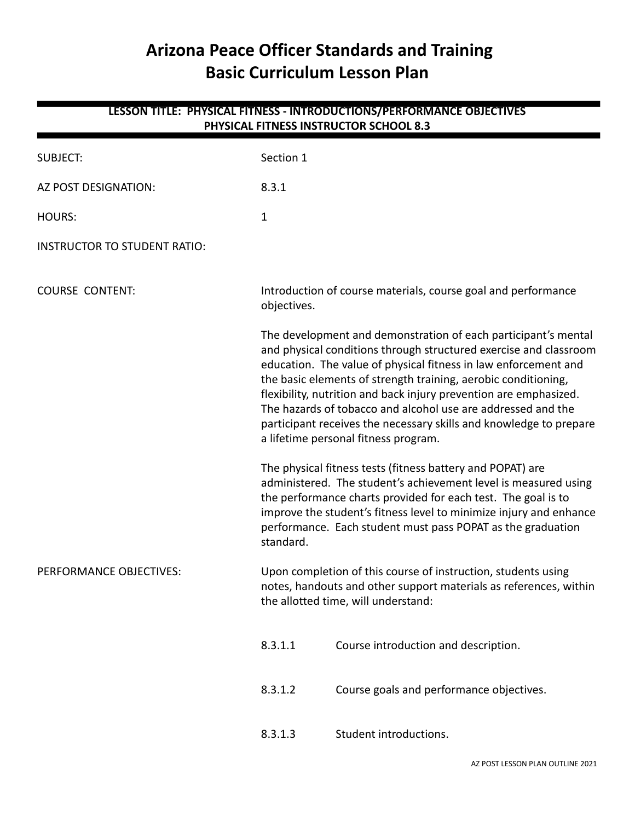# **Arizona Peace Officer Standards and Training Basic Curriculum Lesson Plan**

| LESSON TITLE: PHYSICAL FITNESS - INTRODUCTIONS/PERFORMANCE OBJECTIVES<br>PHYSICAL FITNESS INSTRUCTOR SCHOOL 8.3 |              |                                                                                                                                                                                                                                                                                                                                                                                                                                                                                                                             |  |  |
|-----------------------------------------------------------------------------------------------------------------|--------------|-----------------------------------------------------------------------------------------------------------------------------------------------------------------------------------------------------------------------------------------------------------------------------------------------------------------------------------------------------------------------------------------------------------------------------------------------------------------------------------------------------------------------------|--|--|
| <b>SUBJECT:</b>                                                                                                 | Section 1    |                                                                                                                                                                                                                                                                                                                                                                                                                                                                                                                             |  |  |
| AZ POST DESIGNATION:                                                                                            | 8.3.1        |                                                                                                                                                                                                                                                                                                                                                                                                                                                                                                                             |  |  |
| <b>HOURS:</b>                                                                                                   | $\mathbf{1}$ |                                                                                                                                                                                                                                                                                                                                                                                                                                                                                                                             |  |  |
| <b>INSTRUCTOR TO STUDENT RATIO:</b>                                                                             |              |                                                                                                                                                                                                                                                                                                                                                                                                                                                                                                                             |  |  |
| <b>COURSE CONTENT:</b>                                                                                          | objectives.  | Introduction of course materials, course goal and performance                                                                                                                                                                                                                                                                                                                                                                                                                                                               |  |  |
|                                                                                                                 |              | The development and demonstration of each participant's mental<br>and physical conditions through structured exercise and classroom<br>education. The value of physical fitness in law enforcement and<br>the basic elements of strength training, aerobic conditioning,<br>flexibility, nutrition and back injury prevention are emphasized.<br>The hazards of tobacco and alcohol use are addressed and the<br>participant receives the necessary skills and knowledge to prepare<br>a lifetime personal fitness program. |  |  |
|                                                                                                                 | standard.    | The physical fitness tests (fitness battery and POPAT) are<br>administered. The student's achievement level is measured using<br>the performance charts provided for each test. The goal is to<br>improve the student's fitness level to minimize injury and enhance<br>performance. Each student must pass POPAT as the graduation                                                                                                                                                                                         |  |  |
| PERFORMANCE OBJECTIVES:                                                                                         |              | Upon completion of this course of instruction, students using<br>notes, handouts and other support materials as references, within<br>the allotted time, will understand:                                                                                                                                                                                                                                                                                                                                                   |  |  |
|                                                                                                                 | 8.3.1.1      | Course introduction and description.                                                                                                                                                                                                                                                                                                                                                                                                                                                                                        |  |  |
|                                                                                                                 | 8.3.1.2      | Course goals and performance objectives.                                                                                                                                                                                                                                                                                                                                                                                                                                                                                    |  |  |
|                                                                                                                 | 8.3.1.3      | Student introductions.                                                                                                                                                                                                                                                                                                                                                                                                                                                                                                      |  |  |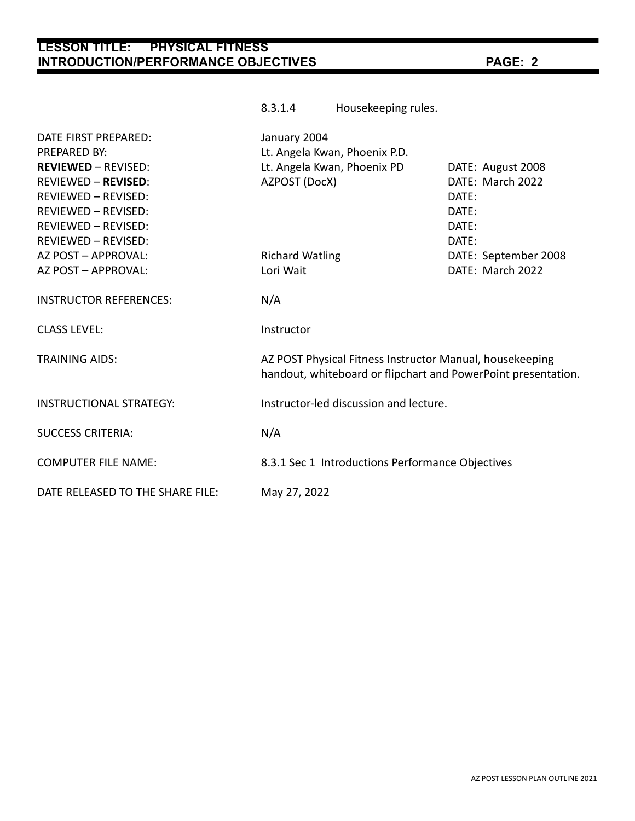# **LESSON TITLE: PHYSICAL FITNESS INTRODUCTION/PERFORMANCE OBJECTIVES PAGE: 2**

|                                                                                                                                                                           | 8.3.1.4                                                                                                                   | Housekeeping rules.                    |                                                                           |  |
|---------------------------------------------------------------------------------------------------------------------------------------------------------------------------|---------------------------------------------------------------------------------------------------------------------------|----------------------------------------|---------------------------------------------------------------------------|--|
| DATE FIRST PREPARED:<br><b>PREPARED BY:</b>                                                                                                                               | January 2004<br>Lt. Angela Kwan, Phoenix P.D.                                                                             |                                        |                                                                           |  |
| <b>REVIEWED - REVISED:</b><br><b>REVIEWED - REVISED:</b><br><b>REVIEWED - REVISED:</b><br><b>REVIEWED - REVISED:</b><br><b>REVIEWED - REVISED:</b><br>REVIEWED - REVISED: | AZPOST (DocX)                                                                                                             | Lt. Angela Kwan, Phoenix PD            | DATE: August 2008<br>DATE: March 2022<br>DATE:<br>DATE:<br>DATE:<br>DATE: |  |
| AZ POST - APPROVAL:<br>AZ POST - APPROVAL:                                                                                                                                | <b>Richard Watling</b><br>Lori Wait                                                                                       |                                        | DATE: September 2008<br>DATE: March 2022                                  |  |
| <b>INSTRUCTOR REFERENCES:</b>                                                                                                                                             | N/A                                                                                                                       |                                        |                                                                           |  |
| <b>CLASS LEVEL:</b>                                                                                                                                                       | Instructor                                                                                                                |                                        |                                                                           |  |
| <b>TRAINING AIDS:</b>                                                                                                                                                     | AZ POST Physical Fitness Instructor Manual, housekeeping<br>handout, whiteboard or flipchart and PowerPoint presentation. |                                        |                                                                           |  |
| <b>INSTRUCTIONAL STRATEGY:</b>                                                                                                                                            |                                                                                                                           | Instructor-led discussion and lecture. |                                                                           |  |
| <b>SUCCESS CRITERIA:</b>                                                                                                                                                  | N/A                                                                                                                       |                                        |                                                                           |  |
| <b>COMPUTER FILE NAME:</b>                                                                                                                                                | 8.3.1 Sec 1 Introductions Performance Objectives                                                                          |                                        |                                                                           |  |
| DATE RELEASED TO THE SHARE FILE:                                                                                                                                          | May 27, 2022                                                                                                              |                                        |                                                                           |  |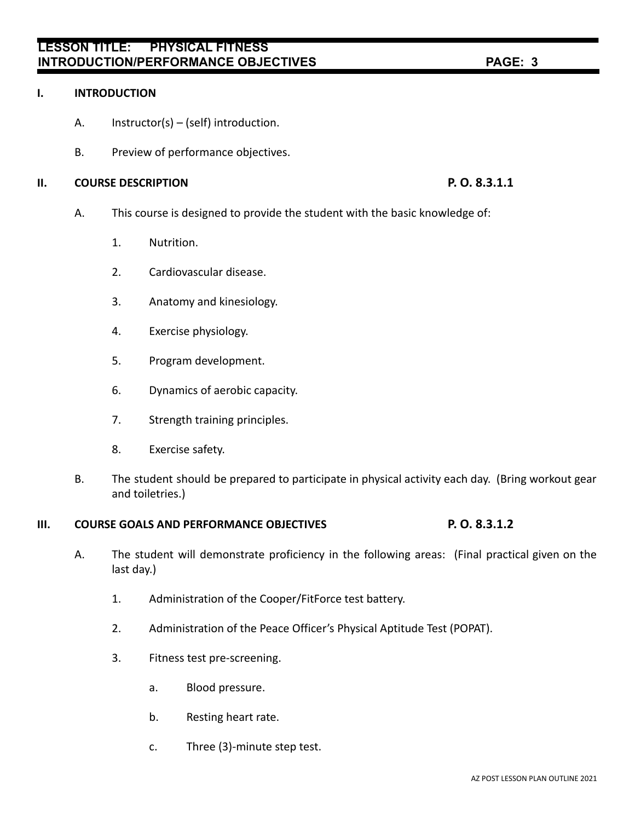# **LESSON TITLE: PHYSICAL FITNESS INTRODUCTION/PERFORMANCE OBJECTIVES PAGE: 3**

### **I. INTRODUCTION**

- A. Instructor(s) (self) introduction.
- B. Preview of performance objectives.

### **II. COURSE DESCRIPTION P. O. 8.3.1.1**

- A. This course is designed to provide the student with the basic knowledge of:
	- 1. Nutrition.
	- 2. Cardiovascular disease.
	- 3. Anatomy and kinesiology.
	- 4. Exercise physiology.
	- 5. Program development.
	- 6. Dynamics of aerobic capacity.
	- 7. Strength training principles.
	- 8. Exercise safety.
- B. The student should be prepared to participate in physical activity each day. (Bring workout gear and toiletries.)

## **III. COURSE GOALS AND PERFORMANCE OBJECTIVES P. O. 8.3.1.2**

- A. The student will demonstrate proficiency in the following areas: (Final practical given on the last day.)
	- 1. Administration of the Cooper/FitForce test battery.
	- 2. Administration of the Peace Officer's Physical Aptitude Test (POPAT).
	- 3. Fitness test pre-screening.
		- a. Blood pressure.
		- b. Resting heart rate.
		- c. Three (3)-minute step test.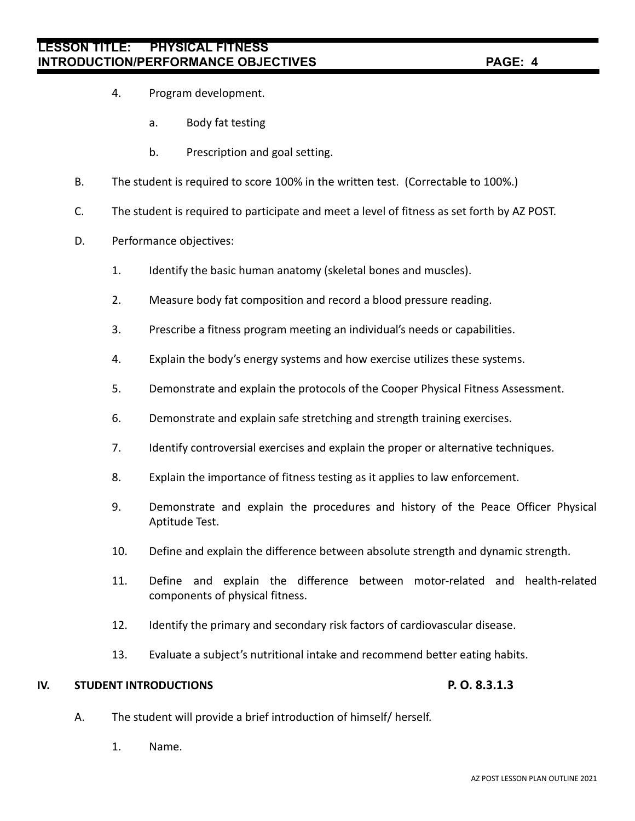- 4. Program development.
	- a. Body fat testing
	- b. Prescription and goal setting.
- B. The student is required to score 100% in the written test. (Correctable to 100%.)
- C. The student is required to participate and meet a level of fitness as set forth by AZ POST.
- D. Performance objectives:
	- 1. Identify the basic human anatomy (skeletal bones and muscles).
	- 2. Measure body fat composition and record a blood pressure reading.
	- 3. Prescribe a fitness program meeting an individual's needs or capabilities.
	- 4. Explain the body's energy systems and how exercise utilizes these systems.
	- 5. Demonstrate and explain the protocols of the Cooper Physical Fitness Assessment.
	- 6. Demonstrate and explain safe stretching and strength training exercises.
	- 7. Identify controversial exercises and explain the proper or alternative techniques.
	- 8. Explain the importance of fitness testing as it applies to law enforcement.
	- 9. Demonstrate and explain the procedures and history of the Peace Officer Physical Aptitude Test.
	- 10. Define and explain the difference between absolute strength and dynamic strength.
	- 11. Define and explain the difference between motor-related and health-related components of physical fitness.
	- 12. Identify the primary and secondary risk factors of cardiovascular disease.
	- 13. Evaluate a subject's nutritional intake and recommend better eating habits.

### **IV. STUDENT INTRODUCTIONS P. O. 8.3.1.3**

- A. The student will provide a brief introduction of himself/ herself.
	- 1. Name.